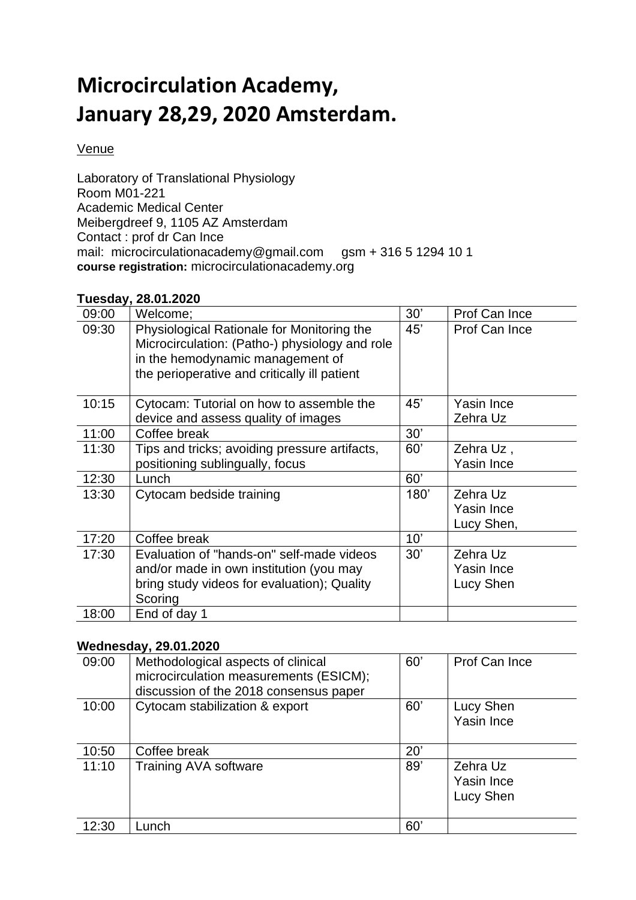## **Microcirculation Academy, January 28,29, 2020 Amsterdam.**

## Venue

Laboratory of Translational Physiology Room M01-221 Academic Medical Center Meibergdreef 9, 1105 AZ Amsterdam Contact : prof dr Can Ince mail: microcirculationacademy@gmail.com gsm + 316 5 1294 10 1 **course registration:** microcirculationacademy.org

## **Tuesday, 28.01.2020**

| 09:00 | Welcome;                                                                                                                                                                         | 30'  | Prof Can Ince                        |
|-------|----------------------------------------------------------------------------------------------------------------------------------------------------------------------------------|------|--------------------------------------|
| 09:30 | Physiological Rationale for Monitoring the<br>Microcirculation: (Patho-) physiology and role<br>in the hemodynamic management of<br>the perioperative and critically ill patient | 45'  | Prof Can Ince                        |
| 10:15 | Cytocam: Tutorial on how to assemble the                                                                                                                                         | 45'  | Yasin Ince                           |
|       | device and assess quality of images                                                                                                                                              |      | Zehra Uz                             |
| 11:00 | Coffee break                                                                                                                                                                     | 30'  |                                      |
| 11:30 | Tips and tricks; avoiding pressure artifacts,                                                                                                                                    | 60'  | Zehra Uz,                            |
|       | positioning sublingually, focus                                                                                                                                                  |      | Yasin Ince                           |
| 12:30 | Lunch                                                                                                                                                                            | 60'  |                                      |
| 13:30 | Cytocam bedside training                                                                                                                                                         | 180' | Zehra Uz<br>Yasin Ince<br>Lucy Shen, |
| 17:20 | Coffee break                                                                                                                                                                     | 10'  |                                      |
| 17:30 | Evaluation of "hands-on" self-made videos<br>and/or made in own institution (you may<br>bring study videos for evaluation); Quality<br>Scoring                                   | 30'  | Zehra Uz<br>Yasin Ince<br>Lucy Shen  |
| 18:00 | End of day 1                                                                                                                                                                     |      |                                      |

## **Wednesday, 29.01.2020**

| 09:00 | Methodological aspects of clinical<br>microcirculation measurements (ESICM);<br>discussion of the 2018 consensus paper | 60' | Prof Can Ince                       |
|-------|------------------------------------------------------------------------------------------------------------------------|-----|-------------------------------------|
| 10:00 | Cytocam stabilization & export                                                                                         | 60' | Lucy Shen<br>Yasin Ince             |
| 10:50 | Coffee break                                                                                                           | 20' |                                     |
| 11:10 | <b>Training AVA software</b>                                                                                           | 89' | Zehra Uz<br>Yasin Ince<br>Lucy Shen |
| 12:30 | Lunch                                                                                                                  | 60' |                                     |